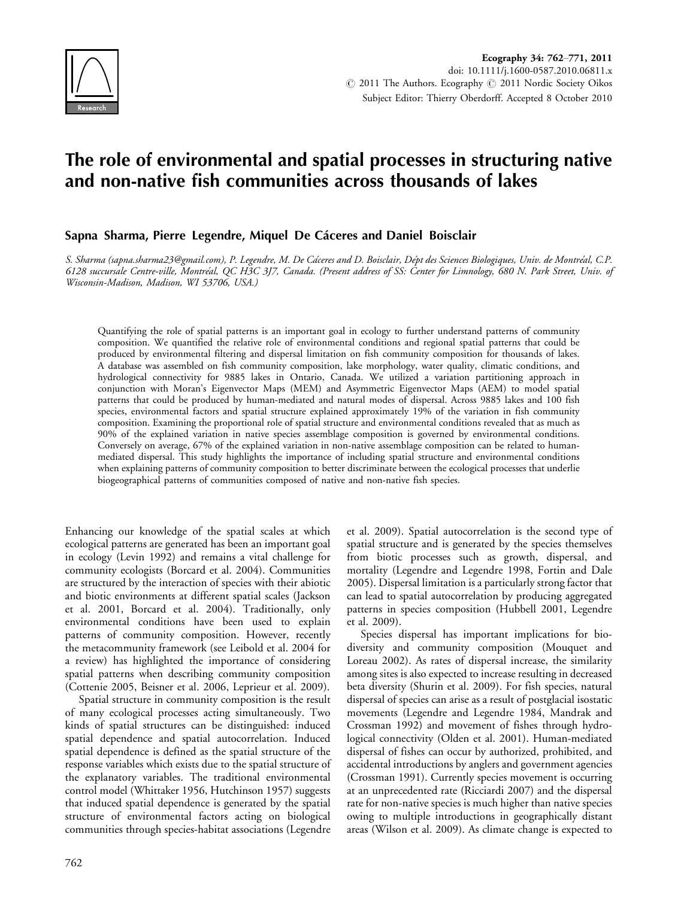

# The role of environmental and spatial processes in structuring native and non-native fish communities across thousands of lakes

## Sapna Sharma, Pierre Legendre, Miquel De Cáceres and Daniel Boisclair

S. Sharma (sapna.sharma23@gmail.com), P. Legendre, M. De Cáceres and D. Boisclair, Dépt des Sciences Biologiques, Univ. de Montréal, C.P. 6128 succursale Centre-ville, Montréal, QC H3C 3J7, Canada. (Present address of SS: Center for Limnology, 680 N. Park Street, Univ. of Wisconsin-Madison, Madison, WI 53706, USA.)

Quantifying the role of spatial patterns is an important goal in ecology to further understand patterns of community composition. We quantified the relative role of environmental conditions and regional spatial patterns that could be produced by environmental filtering and dispersal limitation on fish community composition for thousands of lakes. A database was assembled on fish community composition, lake morphology, water quality, climatic conditions, and hydrological connectivity for 9885 lakes in Ontario, Canada. We utilized a variation partitioning approach in conjunction with Moran's Eigenvector Maps (MEM) and Asymmetric Eigenvector Maps (AEM) to model spatial patterns that could be produced by human-mediated and natural modes of dispersal. Across 9885 lakes and 100 fish species, environmental factors and spatial structure explained approximately 19% of the variation in fish community composition. Examining the proportional role of spatial structure and environmental conditions revealed that as much as 90% of the explained variation in native species assemblage composition is governed by environmental conditions. Conversely on average, 67% of the explained variation in non-native assemblage composition can be related to humanmediated dispersal. This study highlights the importance of including spatial structure and environmental conditions when explaining patterns of community composition to better discriminate between the ecological processes that underlie biogeographical patterns of communities composed of native and non-native fish species.

Enhancing our knowledge of the spatial scales at which ecological patterns are generated has been an important goal in ecology (Levin 1992) and remains a vital challenge for community ecologists (Borcard et al. 2004). Communities are structured by the interaction of species with their abiotic and biotic environments at different spatial scales (Jackson et al. 2001, Borcard et al. 2004). Traditionally, only environmental conditions have been used to explain patterns of community composition. However, recently the metacommunity framework (see Leibold et al. 2004 for a review) has highlighted the importance of considering spatial patterns when describing community composition (Cottenie 2005, Beisner et al. 2006, Leprieur et al. 2009).

Spatial structure in community composition is the result of many ecological processes acting simultaneously. Two kinds of spatial structures can be distinguished: induced spatial dependence and spatial autocorrelation. Induced spatial dependence is defined as the spatial structure of the response variables which exists due to the spatial structure of the explanatory variables. The traditional environmental control model (Whittaker 1956, Hutchinson 1957) suggests that induced spatial dependence is generated by the spatial structure of environmental factors acting on biological communities through species-habitat associations (Legendre

et al. 2009). Spatial autocorrelation is the second type of spatial structure and is generated by the species themselves from biotic processes such as growth, dispersal, and mortality (Legendre and Legendre 1998, Fortin and Dale 2005). Dispersal limitation is a particularly strong factor that can lead to spatial autocorrelation by producing aggregated patterns in species composition (Hubbell 2001, Legendre et al. 2009).

Species dispersal has important implications for biodiversity and community composition (Mouquet and Loreau 2002). As rates of dispersal increase, the similarity among sites is also expected to increase resulting in decreased beta diversity (Shurin et al. 2009). For fish species, natural dispersal of species can arise as a result of postglacial isostatic movements (Legendre and Legendre 1984, Mandrak and Crossman 1992) and movement of fishes through hydrological connectivity (Olden et al. 2001). Human-mediated dispersal of fishes can occur by authorized, prohibited, and accidental introductions by anglers and government agencies (Crossman 1991). Currently species movement is occurring at an unprecedented rate (Ricciardi 2007) and the dispersal rate for non-native species is much higher than native species owing to multiple introductions in geographically distant areas (Wilson et al. 2009). As climate change is expected to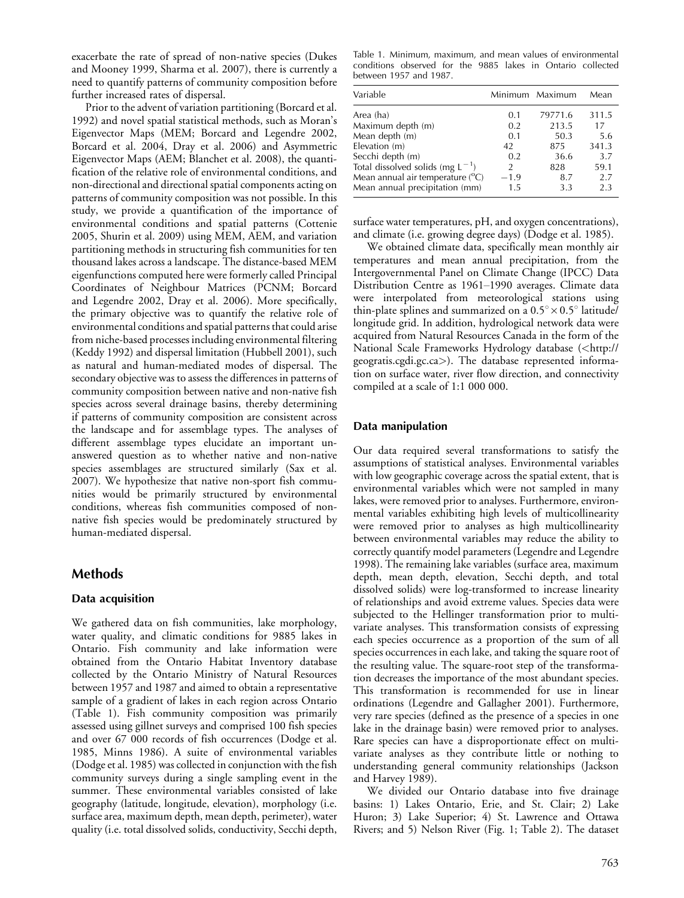exacerbate the rate of spread of non-native species (Dukes and Mooney 1999, Sharma et al. 2007), there is currently a need to quantify patterns of community composition before further increased rates of dispersal.

Prior to the advent of variation partitioning (Borcard et al. 1992) and novel spatial statistical methods, such as Moran's Eigenvector Maps (MEM; Borcard and Legendre 2002, Borcard et al. 2004, Dray et al. 2006) and Asymmetric Eigenvector Maps (AEM; Blanchet et al. 2008), the quantification of the relative role of environmental conditions, and non-directional and directional spatial components acting on patterns of community composition was not possible. In this study, we provide a quantification of the importance of environmental conditions and spatial patterns (Cottenie 2005, Shurin et al. 2009) using MEM, AEM, and variation partitioning methods in structuring fish communities for ten thousand lakes across a landscape. The distance-based MEM eigenfunctions computed here were formerly called Principal Coordinates of Neighbour Matrices (PCNM; Borcard and Legendre 2002, Dray et al. 2006). More specifically, the primary objective was to quantify the relative role of environmental conditions and spatial patterns that could arise from niche-based processes including environmental filtering (Keddy 1992) and dispersal limitation (Hubbell 2001), such as natural and human-mediated modes of dispersal. The secondary objective was to assess the differences in patterns of community composition between native and non-native fish species across several drainage basins, thereby determining if patterns of community composition are consistent across the landscape and for assemblage types. The analyses of different assemblage types elucidate an important unanswered question as to whether native and non-native species assemblages are structured similarly (Sax et al. 2007). We hypothesize that native non-sport fish communities would be primarily structured by environmental conditions, whereas fish communities composed of nonnative fish species would be predominately structured by human-mediated dispersal.

# Methods

## Data acquisition

We gathered data on fish communities, lake morphology, water quality, and climatic conditions for 9885 lakes in Ontario. Fish community and lake information were obtained from the Ontario Habitat Inventory database collected by the Ontario Ministry of Natural Resources between 1957 and 1987 and aimed to obtain a representative sample of a gradient of lakes in each region across Ontario (Table 1). Fish community composition was primarily assessed using gillnet surveys and comprised 100 fish species and over 67 000 records of fish occurrences (Dodge et al. 1985, Minns 1986). A suite of environmental variables (Dodge et al. 1985) was collected in conjunction with the fish community surveys during a single sampling event in the summer. These environmental variables consisted of lake geography (latitude, longitude, elevation), morphology (i.e. surface area, maximum depth, mean depth, perimeter), water quality (i.e. total dissolved solids, conductivity, Secchi depth,

Table 1. Minimum, maximum, and mean values of environmental conditions observed for the 9885 lakes in Ontario collected between 1957 and 1987.

| Variable                                  |               | Minimum Maximum | Mean  |
|-------------------------------------------|---------------|-----------------|-------|
| Area (ha)                                 | 0.1           | 79771.6         | 311.5 |
| Maximum depth (m)                         | 0.2           | 213.5           | 17    |
| Mean depth (m)                            | 0.1           | 50.3            | 5.6   |
| Elevation (m)                             | 42            | 875             | 341.3 |
| Secchi depth (m)                          | 0.2           | 36.6            | 3.7   |
| Total dissolved solids (mg $L^{-1}$ )     | $\mathcal{P}$ | 828             | 59.1  |
| Mean annual air temperature $(^{\circ}C)$ | $-1.9$        | 8.7             | 2.7   |
| Mean annual precipitation (mm)            | 1.5           | 3.3             | 2.3   |

surface water temperatures, pH, and oxygen concentrations), and climate (i.e. growing degree days) (Dodge et al. 1985).

We obtained climate data, specifically mean monthly air temperatures and mean annual precipitation, from the Intergovernmental Panel on Climate Change (IPCC) Data Distribution Centre as 1961-1990 averages. Climate data were interpolated from meteorological stations using thin-plate splines and summarized on a 0.5°  $\times$  0.5° latitude/ longitude grid. In addition, hydrological network data were acquired from Natural Resources Canada in the form of the National Scale Frameworks Hydrology database (<[http://](http://geogratis.cgdi.gc.ca) [geogratis.cgdi.gc.ca](http://geogratis.cgdi.gc.ca)>). The database represented information on surface water, river flow direction, and connectivity compiled at a scale of 1:1 000 000.

### Data manipulation

Our data required several transformations to satisfy the assumptions of statistical analyses. Environmental variables with low geographic coverage across the spatial extent, that is environmental variables which were not sampled in many lakes, were removed prior to analyses. Furthermore, environmental variables exhibiting high levels of multicollinearity were removed prior to analyses as high multicollinearity between environmental variables may reduce the ability to correctly quantify model parameters (Legendre and Legendre 1998). The remaining lake variables (surface area, maximum depth, mean depth, elevation, Secchi depth, and total dissolved solids) were log-transformed to increase linearity of relationships and avoid extreme values. Species data were subjected to the Hellinger transformation prior to multivariate analyses. This transformation consists of expressing each species occurrence as a proportion of the sum of all species occurrences in each lake, and taking the square root of the resulting value. The square-root step of the transformation decreases the importance of the most abundant species. This transformation is recommended for use in linear ordinations (Legendre and Gallagher 2001). Furthermore, very rare species (defined as the presence of a species in one lake in the drainage basin) were removed prior to analyses. Rare species can have a disproportionate effect on multivariate analyses as they contribute little or nothing to understanding general community relationships (Jackson and Harvey 1989).

We divided our Ontario database into five drainage basins: 1) Lakes Ontario, Erie, and St. Clair; 2) Lake Huron; 3) Lake Superior; 4) St. Lawrence and Ottawa Rivers; and 5) Nelson River (Fig. 1; Table 2). The dataset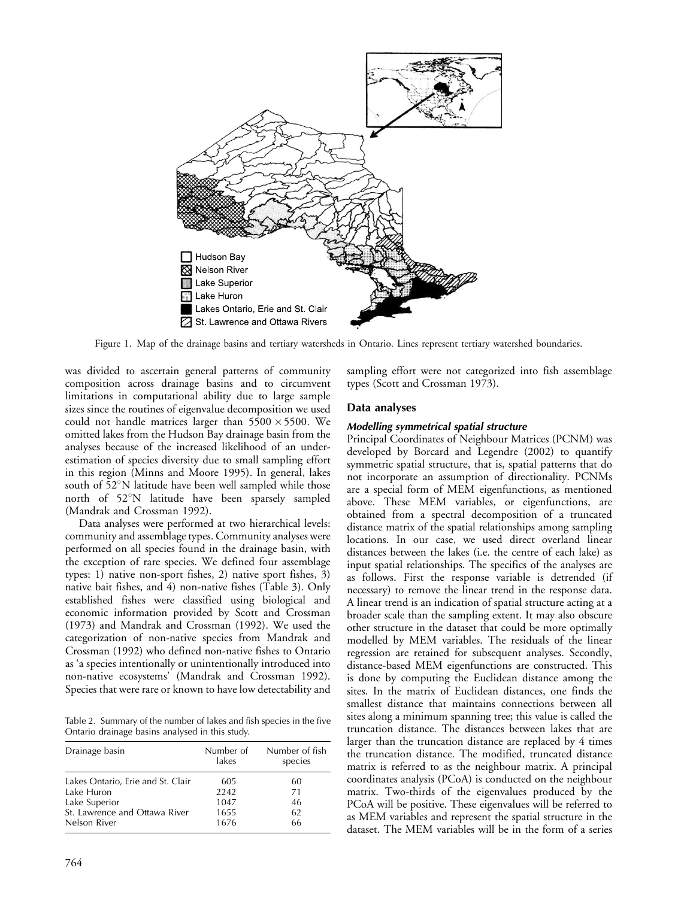

Figure 1. Map of the drainage basins and tertiary watersheds in Ontario. Lines represent tertiary watershed boundaries.

was divided to ascertain general patterns of community composition across drainage basins and to circumvent limitations in computational ability due to large sample sizes since the routines of eigenvalue decomposition we used could not handle matrices larger than  $5500 \times 5500$ . We omitted lakes from the Hudson Bay drainage basin from the analyses because of the increased likelihood of an underestimation of species diversity due to small sampling effort in this region (Minns and Moore 1995). In general, lakes south of  $52^{\circ}$ N latitude have been well sampled while those north of 52°N latitude have been sparsely sampled (Mandrak and Crossman 1992).

Data analyses were performed at two hierarchical levels: community and assemblage types. Community analyses were performed on all species found in the drainage basin, with the exception of rare species. We defined four assemblage types: 1) native non-sport fishes, 2) native sport fishes, 3) native bait fishes, and 4) non-native fishes (Table 3). Only established fishes were classified using biological and economic information provided by Scott and Crossman (1973) and Mandrak and Crossman (1992). We used the categorization of non-native species from Mandrak and Crossman (1992) who defined non-native fishes to Ontario as 'a species intentionally or unintentionally introduced into non-native ecosystems' (Mandrak and Crossman 1992). Species that were rare or known to have low detectability and

Table 2. Summary of the number of lakes and fish species in the five Ontario drainage basins analysed in this study.

| Drainage basin                    | Number of<br>lakes | Number of fish<br>species |
|-----------------------------------|--------------------|---------------------------|
| Lakes Ontario, Erie and St. Clair | 605                | 60                        |
| Lake Huron                        | 2242               | 71                        |
| Lake Superior                     | 1047               | 46                        |
| St. Lawrence and Ottawa River     | 1655               | 62                        |
| Nelson River                      | 1676               | 66                        |

sampling effort were not categorized into fish assemblage types (Scott and Crossman 1973).

### Data analyses

#### Modelling symmetrical spatial structure

Principal Coordinates of Neighbour Matrices (PCNM) was developed by Borcard and Legendre (2002) to quantify symmetric spatial structure, that is, spatial patterns that do not incorporate an assumption of directionality. PCNMs are a special form of MEM eigenfunctions, as mentioned above. These MEM variables, or eigenfunctions, are obtained from a spectral decomposition of a truncated distance matrix of the spatial relationships among sampling locations. In our case, we used direct overland linear distances between the lakes (i.e. the centre of each lake) as input spatial relationships. The specifics of the analyses are as follows. First the response variable is detrended (if necessary) to remove the linear trend in the response data. A linear trend is an indication of spatial structure acting at a broader scale than the sampling extent. It may also obscure other structure in the dataset that could be more optimally modelled by MEM variables. The residuals of the linear regression are retained for subsequent analyses. Secondly, distance-based MEM eigenfunctions are constructed. This is done by computing the Euclidean distance among the sites. In the matrix of Euclidean distances, one finds the smallest distance that maintains connections between all sites along a minimum spanning tree; this value is called the truncation distance. The distances between lakes that are larger than the truncation distance are replaced by 4 times the truncation distance. The modified, truncated distance matrix is referred to as the neighbour matrix. A principal coordinates analysis (PCoA) is conducted on the neighbour matrix. Two-thirds of the eigenvalues produced by the PCoA will be positive. These eigenvalues will be referred to as MEM variables and represent the spatial structure in the dataset. The MEM variables will be in the form of a series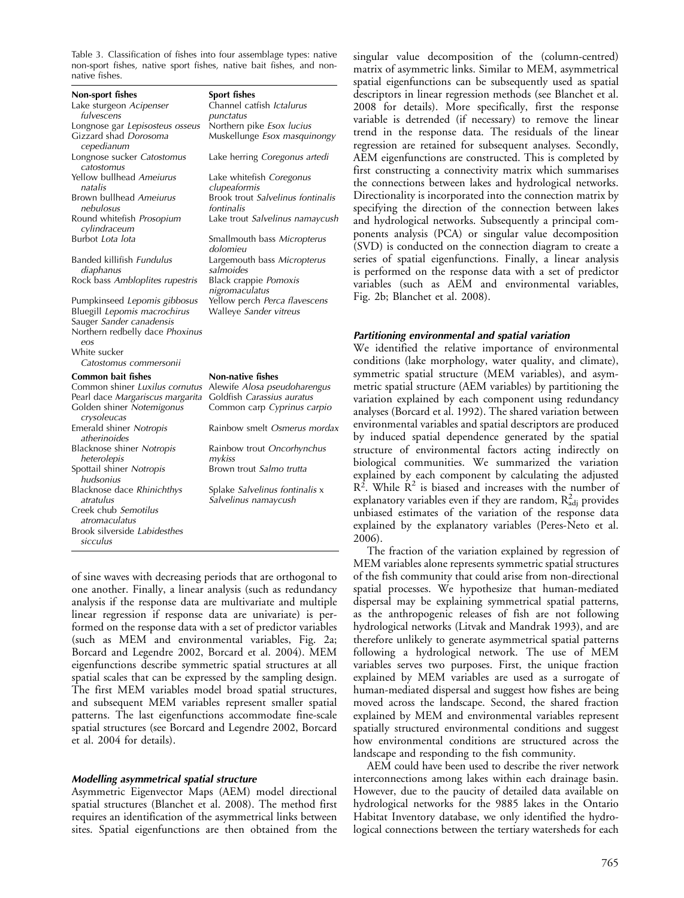Table 3. Classification of fishes into four assemblage types: native non-sport fishes, native sport fishes, native bait fishes, and nonnative fishes.

| Non-sport fishes<br>Lake sturgeon Acipenser<br>fulvescens<br>Longnose gar Lepisosteus osseus<br>Gizzard shad Dorosoma<br>cepedianum | Sport fishes<br>Channel catfish <i>Ictalurus</i><br>punctatus<br>Northern pike Esox lucius<br>Muskellunge Esox masquinongy |
|-------------------------------------------------------------------------------------------------------------------------------------|----------------------------------------------------------------------------------------------------------------------------|
| Longnose sucker Catostomus<br>catostomus                                                                                            | Lake herring Coregonus artedi                                                                                              |
| Yellow bullhead <i>Ameiurus</i><br>natalis                                                                                          | Lake whitefish Coregonus<br>clupeaformis                                                                                   |
| Brown bullhead Ameiurus<br>nebulosus                                                                                                | Brook trout Salvelinus fontinalis<br>fontinalis                                                                            |
| Round whitefish Prosopium<br>cylindraceum                                                                                           | Lake trout Salvelinus namaycush                                                                                            |
| Burbot <i>Lota lota</i>                                                                                                             | Smallmouth bass Micropterus<br>dolomieu                                                                                    |
| Banded killifish <i>Fundulus</i><br>diaphanus<br>Rock bass Ambloplites rupestris                                                    | Largemouth bass Micropterus<br>salmoides<br>Black crappie Pomoxis                                                          |
| Pumpkinseed Lepomis gibbosus<br>Bluegill Lepomis macrochirus<br>Sauger Sander canadensis<br>Northern redbelly dace Phoxinus<br>eos  | nigromaculatus<br>Yellow perch Perca flavescens<br>Walleye Sander vitreus                                                  |
| White sucker<br>Catostomus commersonii                                                                                              |                                                                                                                            |
| Common bait fishes                                                                                                                  | <b>Non-native fishes</b>                                                                                                   |
| Common shiner Luxilus cornutus<br>Pearl dace Margariscus margarita<br>Golden shiner Notemigonus<br>crysoleucas                      | Alewife Alosa pseudoharengus<br>Goldfish Carassius auratus<br>Common carp Cyprinus carpio                                  |
| Emerald shiner Notropis<br>atherinoides                                                                                             | Rainbow smelt Osmerus mordax                                                                                               |
| Blacknose shiner Notropis<br>heterolepis                                                                                            | Rainbow trout Oncorhynchus<br>mykiss                                                                                       |
| Spottail shiner Notropis<br>hudsonius                                                                                               | Brown trout Salmo trutta                                                                                                   |
| Blacknose dace Rhinichthys<br>atratulus<br>Creek chub Semotilus<br>atromaculatus                                                    | Splake Salvelinus fontinalis x<br>Salvelinus namaycush                                                                     |
| Brook silverside Labidesthes<br>sicculus                                                                                            |                                                                                                                            |

of sine waves with decreasing periods that are orthogonal to one another. Finally, a linear analysis (such as redundancy analysis if the response data are multivariate and multiple linear regression if response data are univariate) is performed on the response data with a set of predictor variables (such as MEM and environmental variables, Fig. 2a; Borcard and Legendre 2002, Borcard et al. 2004). MEM eigenfunctions describe symmetric spatial structures at all spatial scales that can be expressed by the sampling design. The first MEM variables model broad spatial structures, and subsequent MEM variables represent smaller spatial patterns. The last eigenfunctions accommodate fine-scale spatial structures (see Borcard and Legendre 2002, Borcard et al. 2004 for details).

#### Modelling asymmetrical spatial structure

Asymmetric Eigenvector Maps (AEM) model directional spatial structures (Blanchet et al. 2008). The method first requires an identification of the asymmetrical links between sites. Spatial eigenfunctions are then obtained from the singular value decomposition of the (column-centred) matrix of asymmetric links. Similar to MEM, asymmetrical spatial eigenfunctions can be subsequently used as spatial descriptors in linear regression methods (see Blanchet et al. 2008 for details). More specifically, first the response variable is detrended (if necessary) to remove the linear trend in the response data. The residuals of the linear regression are retained for subsequent analyses. Secondly, AEM eigenfunctions are constructed. This is completed by first constructing a connectivity matrix which summarises the connections between lakes and hydrological networks. Directionality is incorporated into the connection matrix by specifying the direction of the connection between lakes and hydrological networks. Subsequently a principal components analysis (PCA) or singular value decomposition (SVD) is conducted on the connection diagram to create a series of spatial eigenfunctions. Finally, a linear analysis is performed on the response data with a set of predictor variables (such as AEM and environmental variables, Fig. 2b; Blanchet et al. 2008).

## Partitioning environmental and spatial variation

We identified the relative importance of environmental conditions (lake morphology, water quality, and climate), symmetric spatial structure (MEM variables), and asymmetric spatial structure (AEM variables) by partitioning the variation explained by each component using redundancy analyses (Borcard et al. 1992). The shared variation between environmental variables and spatial descriptors are produced by induced spatial dependence generated by the spatial structure of environmental factors acting indirectly on biological communities. We summarized the variation explained by each component by calculating the adjusted  $R<sup>2</sup>$ . While  $R<sup>2</sup>$  is biased and increases with the number of explanatory variables even if they are random,  $\rm R^2_{\rm adj}$  provides unbiased estimates of the variation of the response data explained by the explanatory variables (Peres-Neto et al. 2006).

The fraction of the variation explained by regression of MEM variables alone represents symmetric spatial structures of the fish community that could arise from non-directional spatial processes. We hypothesize that human-mediated dispersal may be explaining symmetrical spatial patterns, as the anthropogenic releases of fish are not following hydrological networks (Litvak and Mandrak 1993), and are therefore unlikely to generate asymmetrical spatial patterns following a hydrological network. The use of MEM variables serves two purposes. First, the unique fraction explained by MEM variables are used as a surrogate of human-mediated dispersal and suggest how fishes are being moved across the landscape. Second, the shared fraction explained by MEM and environmental variables represent spatially structured environmental conditions and suggest how environmental conditions are structured across the landscape and responding to the fish community.

AEM could have been used to describe the river network interconnections among lakes within each drainage basin. However, due to the paucity of detailed data available on hydrological networks for the 9885 lakes in the Ontario Habitat Inventory database, we only identified the hydrological connections between the tertiary watersheds for each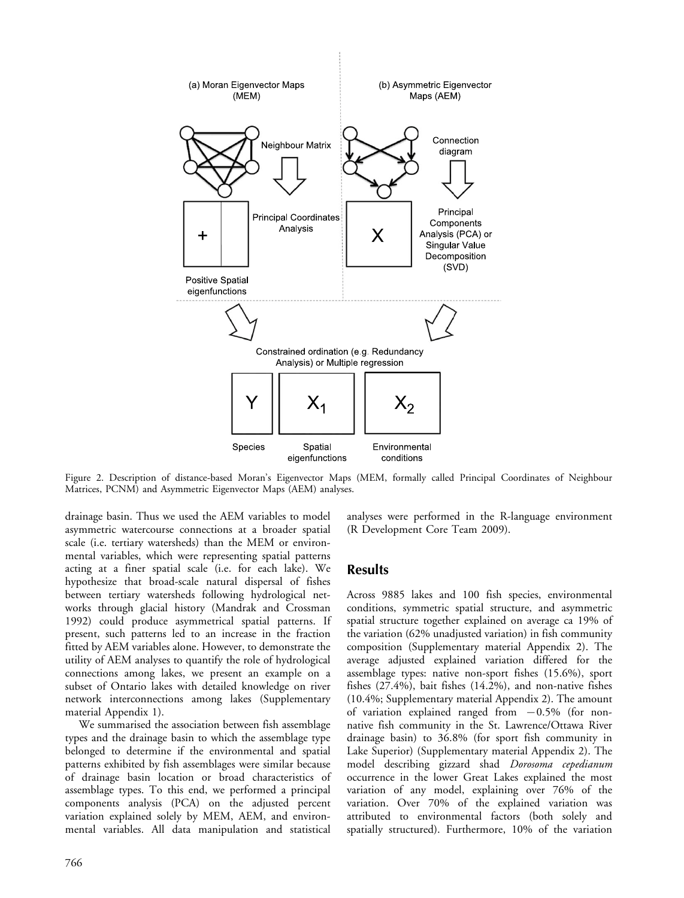

Figure 2. Description of distance-based Moran's Eigenvector Maps (MEM, formally called Principal Coordinates of Neighbour Matrices, PCNM) and Asymmetric Eigenvector Maps (AEM) analyses.

drainage basin. Thus we used the AEM variables to model asymmetric watercourse connections at a broader spatial scale (i.e. tertiary watersheds) than the MEM or environmental variables, which were representing spatial patterns acting at a finer spatial scale (i.e. for each lake). We hypothesize that broad-scale natural dispersal of fishes between tertiary watersheds following hydrological networks through glacial history (Mandrak and Crossman 1992) could produce asymmetrical spatial patterns. If present, such patterns led to an increase in the fraction fitted by AEM variables alone. However, to demonstrate the utility of AEM analyses to quantify the role of hydrological connections among lakes, we present an example on a subset of Ontario lakes with detailed knowledge on river network interconnections among lakes (Supplementary material Appendix 1).

We summarised the association between fish assemblage types and the drainage basin to which the assemblage type belonged to determine if the environmental and spatial patterns exhibited by fish assemblages were similar because of drainage basin location or broad characteristics of assemblage types. To this end, we performed a principal components analysis (PCA) on the adjusted percent variation explained solely by MEM, AEM, and environmental variables. All data manipulation and statistical

analyses were performed in the R-language environment (R Development Core Team 2009).

## Results

Across 9885 lakes and 100 fish species, environmental conditions, symmetric spatial structure, and asymmetric spatial structure together explained on average ca 19% of the variation (62% unadjusted variation) in fish community composition (Supplementary material Appendix 2). The average adjusted explained variation differed for the assemblage types: native non-sport fishes (15.6%), sport fishes (27.4%), bait fishes (14.2%), and non-native fishes (10.4%; Supplementary material Appendix 2). The amount of variation explained ranged from  $-0.5\%$  (for nonnative fish community in the St. Lawrence/Ottawa River drainage basin) to 36.8% (for sport fish community in Lake Superior) (Supplementary material Appendix 2). The model describing gizzard shad Dorosoma cepedianum occurrence in the lower Great Lakes explained the most variation of any model, explaining over 76% of the variation. Over 70% of the explained variation was attributed to environmental factors (both solely and spatially structured). Furthermore, 10% of the variation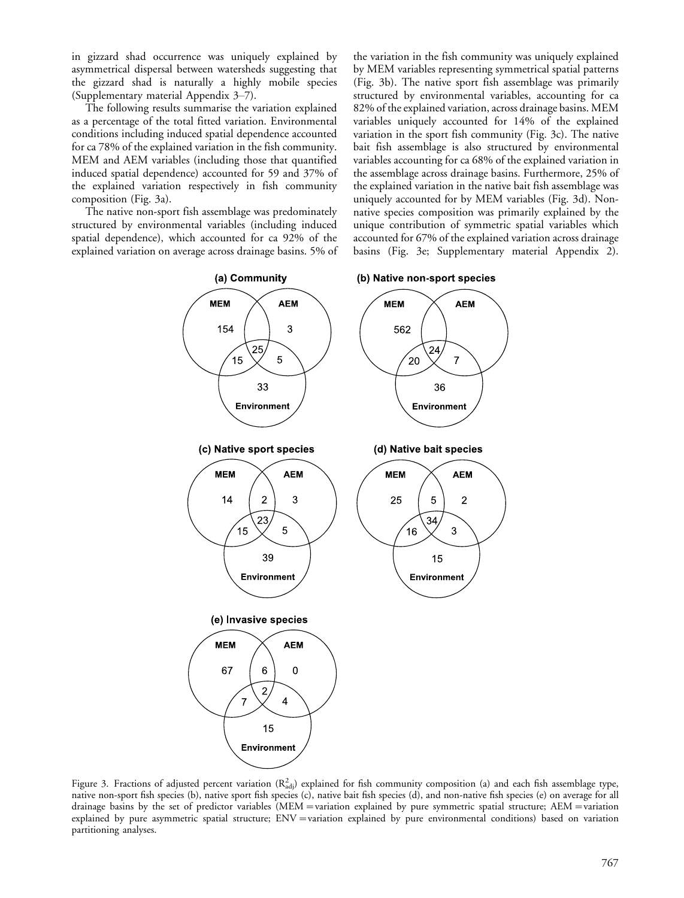in gizzard shad occurrence was uniquely explained by asymmetrical dispersal between watersheds suggesting that the gizzard shad is naturally a highly mobile species (Supplementary material Appendix 3–7).

The following results summarise the variation explained as a percentage of the total fitted variation. Environmental conditions including induced spatial dependence accounted for ca 78% of the explained variation in the fish community. MEM and AEM variables (including those that quantified induced spatial dependence) accounted for 59 and 37% of the explained variation respectively in fish community composition (Fig. 3a).

The native non-sport fish assemblage was predominately structured by environmental variables (including induced spatial dependence), which accounted for ca 92% of the explained variation on average across drainage basins. 5% of the variation in the fish community was uniquely explained by MEM variables representing symmetrical spatial patterns (Fig. 3b). The native sport fish assemblage was primarily structured by environmental variables, accounting for ca 82% of the explained variation, across drainage basins. MEM variables uniquely accounted for 14% of the explained variation in the sport fish community (Fig. 3c). The native bait fish assemblage is also structured by environmental variables accounting for ca 68% of the explained variation in the assemblage across drainage basins. Furthermore, 25% of the explained variation in the native bait fish assemblage was uniquely accounted for by MEM variables (Fig. 3d). Nonnative species composition was primarily explained by the unique contribution of symmetric spatial variables which accounted for 67% of the explained variation across drainage basins (Fig. 3e; Supplementary material Appendix 2).





Figure 3. Fractions of adjusted percent variation ( $R_{\text{adj}}^2$ ) explained for fish community composition (a) and each fish assemblage type, native non-sport fish species (b), native sport fish species (c), native bait fish species (d), and non-native fish species (e) on average for all drainage basins by the set of predictor variables (MEM = variation explained by pure symmetric spatial structure; AEM = variation explained by pure asymmetric spatial structure; ENV = variation explained by pure environmental conditions) based on variation partitioning analyses.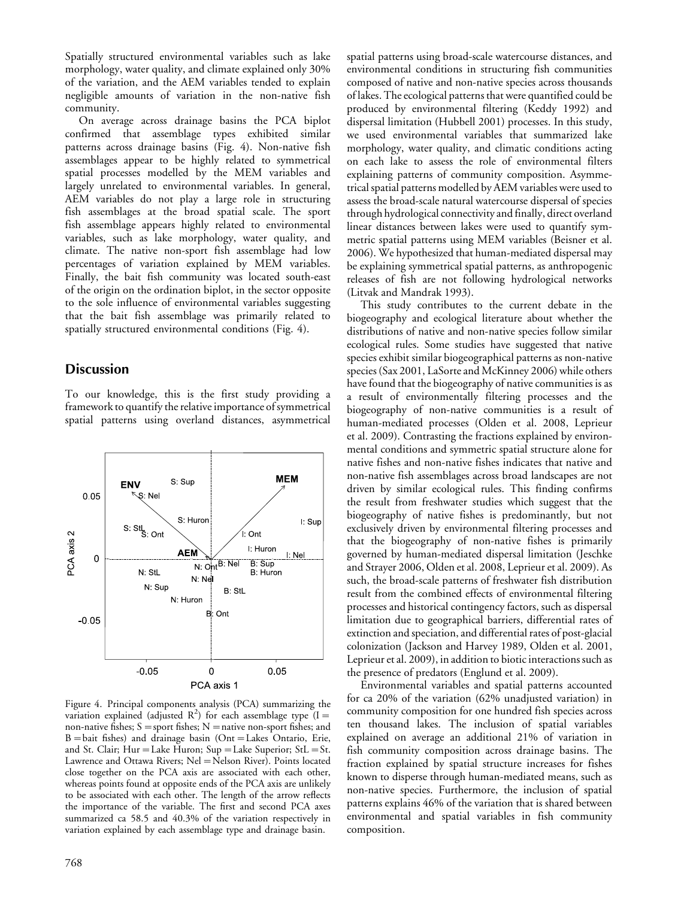Spatially structured environmental variables such as lake morphology, water quality, and climate explained only 30% of the variation, and the AEM variables tended to explain negligible amounts of variation in the non-native fish community.

On average across drainage basins the PCA biplot confirmed that assemblage types exhibited similar patterns across drainage basins (Fig. 4). Non-native fish assemblages appear to be highly related to symmetrical spatial processes modelled by the MEM variables and largely unrelated to environmental variables. In general, AEM variables do not play a large role in structuring fish assemblages at the broad spatial scale. The sport fish assemblage appears highly related to environmental variables, such as lake morphology, water quality, and climate. The native non-sport fish assemblage had low percentages of variation explained by MEM variables. Finally, the bait fish community was located south-east of the origin on the ordination biplot, in the sector opposite to the sole influence of environmental variables suggesting that the bait fish assemblage was primarily related to spatially structured environmental conditions (Fig. 4).

# **Discussion**

To our knowledge, this is the first study providing a framework to quantify the relative importance of symmetrical spatial patterns using overland distances, asymmetrical



Figure 4. Principal components analysis (PCA) summarizing the variation explained (adjusted  $R^2$ ) for each assemblage type (I = non-native fishes;  $S =$ sport fishes; N = native non-sport fishes; and  $B =$ bait fishes) and drainage basin (Ont=Lakes Ontario, Erie, and St. Clair; Hur = Lake Huron; Sup = Lake Superior; StL = St. Lawrence and Ottawa Rivers; Nel = Nelson River). Points located close together on the PCA axis are associated with each other, whereas points found at opposite ends of the PCA axis are unlikely to be associated with each other. The length of the arrow reflects the importance of the variable. The first and second PCA axes summarized ca 58.5 and 40.3% of the variation respectively in variation explained by each assemblage type and drainage basin.

spatial patterns using broad-scale watercourse distances, and environmental conditions in structuring fish communities composed of native and non-native species across thousands of lakes. The ecological patterns that were quantified could be produced by environmental filtering (Keddy 1992) and dispersal limitation (Hubbell 2001) processes. In this study, we used environmental variables that summarized lake morphology, water quality, and climatic conditions acting on each lake to assess the role of environmental filters explaining patterns of community composition. Asymmetrical spatial patterns modelled by AEM variables were used to assess the broad-scale natural watercourse dispersal of species through hydrological connectivity and finally, direct overland linear distances between lakes were used to quantify symmetric spatial patterns using MEM variables (Beisner et al. 2006). We hypothesized that human-mediated dispersal may be explaining symmetrical spatial patterns, as anthropogenic releases of fish are not following hydrological networks (Litvak and Mandrak 1993).

This study contributes to the current debate in the biogeography and ecological literature about whether the distributions of native and non-native species follow similar ecological rules. Some studies have suggested that native species exhibit similar biogeographical patterns as non-native species (Sax 2001, LaSorte and McKinney 2006) while others have found that the biogeography of native communities is as a result of environmentally filtering processes and the biogeography of non-native communities is a result of human-mediated processes (Olden et al. 2008, Leprieur et al. 2009). Contrasting the fractions explained by environmental conditions and symmetric spatial structure alone for native fishes and non-native fishes indicates that native and non-native fish assemblages across broad landscapes are not driven by similar ecological rules. This finding confirms the result from freshwater studies which suggest that the biogeography of native fishes is predominantly, but not exclusively driven by environmental filtering processes and that the biogeography of non-native fishes is primarily governed by human-mediated dispersal limitation (Jeschke and Strayer 2006, Olden et al. 2008, Leprieur et al. 2009). As such, the broad-scale patterns of freshwater fish distribution result from the combined effects of environmental filtering processes and historical contingency factors, such as dispersal limitation due to geographical barriers, differential rates of extinction and speciation, and differential rates of post-glacial colonization (Jackson and Harvey 1989, Olden et al. 2001, Leprieur et al. 2009), in addition to biotic interactions such as the presence of predators (Englund et al. 2009).

Environmental variables and spatial patterns accounted for ca 20% of the variation (62% unadjusted variation) in community composition for one hundred fish species across ten thousand lakes. The inclusion of spatial variables explained on average an additional 21% of variation in fish community composition across drainage basins. The fraction explained by spatial structure increases for fishes known to disperse through human-mediated means, such as non-native species. Furthermore, the inclusion of spatial patterns explains 46% of the variation that is shared between environmental and spatial variables in fish community composition.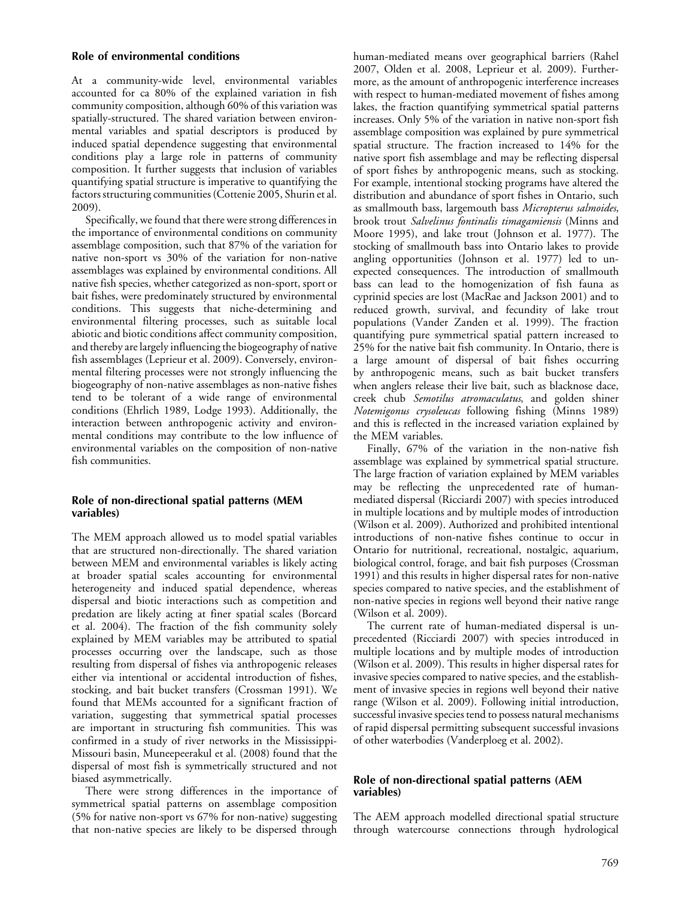### Role of environmental conditions

At a community-wide level, environmental variables accounted for ca 80% of the explained variation in fish community composition, although 60% of this variation was spatially-structured. The shared variation between environmental variables and spatial descriptors is produced by induced spatial dependence suggesting that environmental conditions play a large role in patterns of community composition. It further suggests that inclusion of variables quantifying spatial structure is imperative to quantifying the factors structuring communities (Cottenie 2005, Shurin et al. 2009).

Specifically, we found that there were strong differences in the importance of environmental conditions on community assemblage composition, such that 87% of the variation for native non-sport vs 30% of the variation for non-native assemblages was explained by environmental conditions. All native fish species, whether categorized as non-sport, sport or bait fishes, were predominately structured by environmental conditions. This suggests that niche-determining and environmental filtering processes, such as suitable local abiotic and biotic conditions affect community composition, and thereby are largely influencing the biogeography of native fish assemblages (Leprieur et al. 2009). Conversely, environmental filtering processes were not strongly influencing the biogeography of non-native assemblages as non-native fishes tend to be tolerant of a wide range of environmental conditions (Ehrlich 1989, Lodge 1993). Additionally, the interaction between anthropogenic activity and environmental conditions may contribute to the low influence of environmental variables on the composition of non-native fish communities.

## Role of non-directional spatial patterns (MEM variables)

The MEM approach allowed us to model spatial variables that are structured non-directionally. The shared variation between MEM and environmental variables is likely acting at broader spatial scales accounting for environmental heterogeneity and induced spatial dependence, whereas dispersal and biotic interactions such as competition and predation are likely acting at finer spatial scales (Borcard et al. 2004). The fraction of the fish community solely explained by MEM variables may be attributed to spatial processes occurring over the landscape, such as those resulting from dispersal of fishes via anthropogenic releases either via intentional or accidental introduction of fishes, stocking, and bait bucket transfers (Crossman 1991). We found that MEMs accounted for a significant fraction of variation, suggesting that symmetrical spatial processes are important in structuring fish communities. This was confirmed in a study of river networks in the Mississippi-Missouri basin, Muneepeerakul et al. (2008) found that the dispersal of most fish is symmetrically structured and not biased asymmetrically.

There were strong differences in the importance of symmetrical spatial patterns on assemblage composition (5% for native non-sport vs 67% for non-native) suggesting that non-native species are likely to be dispersed through

human-mediated means over geographical barriers (Rahel 2007, Olden et al. 2008, Leprieur et al. 2009). Furthermore, as the amount of anthropogenic interference increases with respect to human-mediated movement of fishes among lakes, the fraction quantifying symmetrical spatial patterns increases. Only 5% of the variation in native non-sport fish assemblage composition was explained by pure symmetrical spatial structure. The fraction increased to 14% for the native sport fish assemblage and may be reflecting dispersal of sport fishes by anthropogenic means, such as stocking. For example, intentional stocking programs have altered the distribution and abundance of sport fishes in Ontario, such as smallmouth bass, largemouth bass Micropterus salmoides, brook trout Salvelinus fontinalis timagamiensis (Minns and Moore 1995), and lake trout (Johnson et al. 1977). The stocking of smallmouth bass into Ontario lakes to provide angling opportunities (Johnson et al. 1977) led to unexpected consequences. The introduction of smallmouth bass can lead to the homogenization of fish fauna as cyprinid species are lost (MacRae and Jackson 2001) and to reduced growth, survival, and fecundity of lake trout populations (Vander Zanden et al. 1999). The fraction quantifying pure symmetrical spatial pattern increased to 25% for the native bait fish community. In Ontario, there is a large amount of dispersal of bait fishes occurring by anthropogenic means, such as bait bucket transfers when anglers release their live bait, such as blacknose dace, creek chub Semotilus atromaculatus, and golden shiner Notemigonus crysoleucas following fishing (Minns 1989) and this is reflected in the increased variation explained by the MEM variables.

Finally, 67% of the variation in the non-native fish assemblage was explained by symmetrical spatial structure. The large fraction of variation explained by MEM variables may be reflecting the unprecedented rate of humanmediated dispersal (Ricciardi 2007) with species introduced in multiple locations and by multiple modes of introduction (Wilson et al. 2009). Authorized and prohibited intentional introductions of non-native fishes continue to occur in Ontario for nutritional, recreational, nostalgic, aquarium, biological control, forage, and bait fish purposes (Crossman 1991) and this results in higher dispersal rates for non-native species compared to native species, and the establishment of non-native species in regions well beyond their native range (Wilson et al. 2009).

The current rate of human-mediated dispersal is unprecedented (Ricciardi 2007) with species introduced in multiple locations and by multiple modes of introduction (Wilson et al. 2009). This results in higher dispersal rates for invasive species compared to native species, and the establishment of invasive species in regions well beyond their native range (Wilson et al. 2009). Following initial introduction, successful invasive species tend to possess natural mechanisms of rapid dispersal permitting subsequent successful invasions of other waterbodies (Vanderploeg et al. 2002).

## Role of non-directional spatial patterns (AEM variables)

The AEM approach modelled directional spatial structure through watercourse connections through hydrological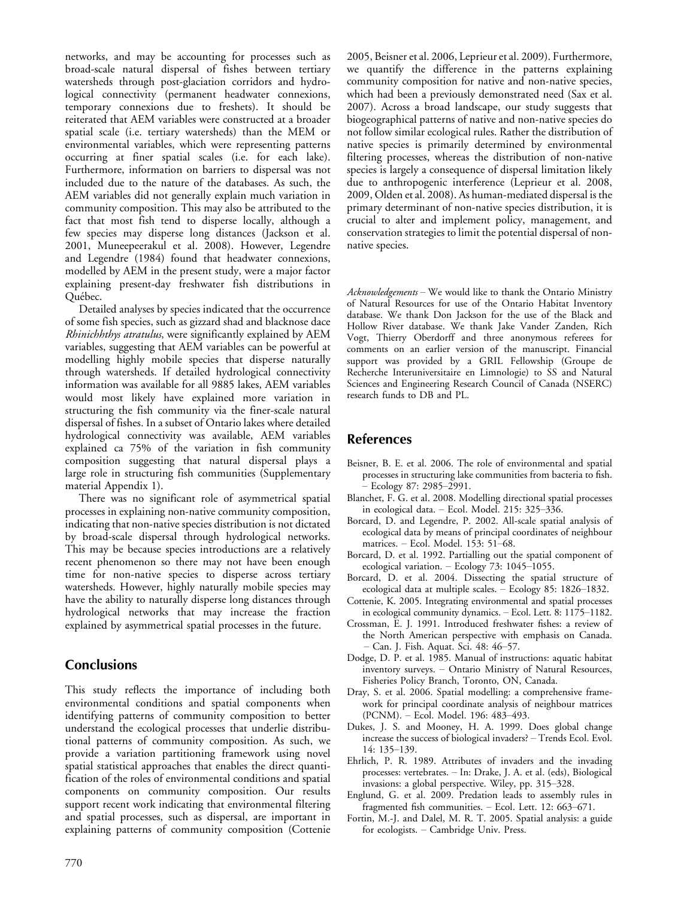networks, and may be accounting for processes such as broad-scale natural dispersal of fishes between tertiary watersheds through post-glaciation corridors and hydrological connectivity (permanent headwater connexions, temporary connexions due to freshets). It should be reiterated that AEM variables were constructed at a broader spatial scale (i.e. tertiary watersheds) than the MEM or environmental variables, which were representing patterns occurring at finer spatial scales (i.e. for each lake). Furthermore, information on barriers to dispersal was not included due to the nature of the databases. As such, the AEM variables did not generally explain much variation in community composition. This may also be attributed to the fact that most fish tend to disperse locally, although a few species may disperse long distances (Jackson et al. 2001, Muneepeerakul et al. 2008). However, Legendre and Legendre (1984) found that headwater connexions, modelled by AEM in the present study, were a major factor explaining present-day freshwater fish distributions in Ouébec.

Detailed analyses by species indicated that the occurrence of some fish species, such as gizzard shad and blacknose dace Rhinichhthys atratulus, were significantly explained by AEM variables, suggesting that AEM variables can be powerful at modelling highly mobile species that disperse naturally through watersheds. If detailed hydrological connectivity information was available for all 9885 lakes, AEM variables would most likely have explained more variation in structuring the fish community via the finer-scale natural dispersal of fishes. In a subset of Ontario lakes where detailed hydrological connectivity was available, AEM variables explained ca 75% of the variation in fish community composition suggesting that natural dispersal plays a large role in structuring fish communities (Supplementary material Appendix 1).

There was no significant role of asymmetrical spatial processes in explaining non-native community composition, indicating that non-native species distribution is not dictated by broad-scale dispersal through hydrological networks. This may be because species introductions are a relatively recent phenomenon so there may not have been enough time for non-native species to disperse across tertiary watersheds. However, highly naturally mobile species may have the ability to naturally disperse long distances through hydrological networks that may increase the fraction explained by asymmetrical spatial processes in the future.

# **Conclusions**

This study reflects the importance of including both environmental conditions and spatial components when identifying patterns of community composition to better understand the ecological processes that underlie distributional patterns of community composition. As such, we provide a variation partitioning framework using novel spatial statistical approaches that enables the direct quantification of the roles of environmental conditions and spatial components on community composition. Our results support recent work indicating that environmental filtering and spatial processes, such as dispersal, are important in explaining patterns of community composition (Cottenie 2005, Beisner et al. 2006, Leprieur et al. 2009). Furthermore, we quantify the difference in the patterns explaining community composition for native and non-native species, which had been a previously demonstrated need (Sax et al. 2007). Across a broad landscape, our study suggests that biogeographical patterns of native and non-native species do not follow similar ecological rules. Rather the distribution of native species is primarily determined by environmental filtering processes, whereas the distribution of non-native species is largely a consequence of dispersal limitation likely due to anthropogenic interference (Leprieur et al. 2008, 2009, Olden et al. 2008). As human-mediated dispersal is the primary determinant of non-native species distribution, it is crucial to alter and implement policy, management, and conservation strategies to limit the potential dispersal of nonnative species.

 $Acknowledgements$  – We would like to thank the Ontario Ministry of Natural Resources for use of the Ontario Habitat Inventory database. We thank Don Jackson for the use of the Black and Hollow River database. We thank Jake Vander Zanden, Rich Vogt, Thierry Oberdorff and three anonymous referees for comments on an earlier version of the manuscript. Financial support was provided by a GRIL Fellowship (Groupe de Recherche Interuniversitaire en Limnologie) to SS and Natural Sciences and Engineering Research Council of Canada (NSERC) research funds to DB and PL.

# References

- Beisner, B. E. et al. 2006. The role of environmental and spatial processes in structuring lake communities from bacteria to fish. - Ecology 87: 2985-2991.
- Blanchet, F. G. et al. 2008. Modelling directional spatial processes in ecological data.  $-$  Ecol. Model. 215: 325-336.
- Borcard, D. and Legendre, P. 2002. All-scale spatial analysis of ecological data by means of principal coordinates of neighbour matrices. - Ecol. Model. 153: 51-68.
- Borcard, D. et al. 1992. Partialling out the spatial component of ecological variation.  $-$  Ecology  $73: 1045-1055$ .
- Borcard, D. et al. 2004. Dissecting the spatial structure of ecological data at multiple scales.  $-$  Ecology 85: 1826–1832.
- Cottenie, K. 2005. Integrating environmental and spatial processes in ecological community dynamics. - Ecol. Lett. 8: 1175-1182.
- Crossman, E. J. 1991. Introduced freshwater fishes: a review of the North American perspective with emphasis on Canada. - Can. J. Fish. Aquat. Sci. 48: 46-57.
- Dodge, D. P. et al. 1985. Manual of instructions: aquatic habitat inventory surveys. - Ontario Ministry of Natural Resources, Fisheries Policy Branch, Toronto, ON, Canada.
- Dray, S. et al. 2006. Spatial modelling: a comprehensive framework for principal coordinate analysis of neighbour matrices (PCNM). - Ecol. Model. 196: 483-493.
- Dukes, J. S. and Mooney, H. A. 1999. Does global change increase the success of biological invaders? - Trends Ecol. Evol. 14: 135-139.
- Ehrlich, P. R. 1989. Attributes of invaders and the invading processes: vertebrates. - In: Drake, J. A. et al. (eds), Biological invasions: a global perspective. Wiley, pp. 315-328.
- Englund, G. et al. 2009. Predation leads to assembly rules in fragmented fish communities.  $-$  Ecol. Lett. 12: 663-671.
- Fortin, M.-J. and Dalel, M. R. T. 2005. Spatial analysis: a guide for ecologists. - Cambridge Univ. Press.